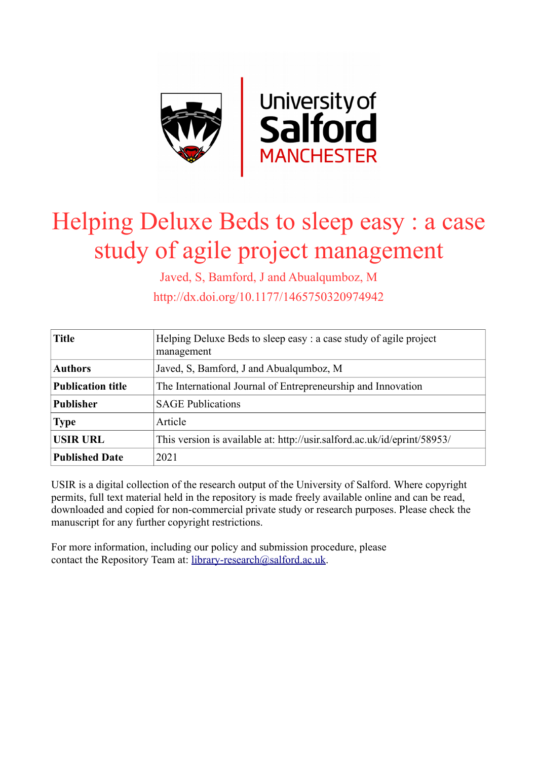

# Helping Deluxe Beds to sleep easy : a case study of agile project management

Javed, S, Bamford, J and Abualqumboz, M http://dx.doi.org/10.1177/1465750320974942

| <b>Title</b>             | Helping Deluxe Beds to sleep easy: a case study of agile project<br>management |  |  |
|--------------------------|--------------------------------------------------------------------------------|--|--|
| <b>Authors</b>           | Javed, S. Bamford, J and Abualqumboz, M                                        |  |  |
| <b>Publication title</b> | The International Journal of Entrepreneurship and Innovation                   |  |  |
| <b>Publisher</b>         | <b>SAGE Publications</b>                                                       |  |  |
| <b>Type</b>              | Article                                                                        |  |  |
| <b>USIR URL</b>          | This version is available at: http://usir.salford.ac.uk/id/eprint/58953/       |  |  |
| <b>Published Date</b>    | 2021                                                                           |  |  |

USIR is a digital collection of the research output of the University of Salford. Where copyright permits, full text material held in the repository is made freely available online and can be read, downloaded and copied for non-commercial private study or research purposes. Please check the manuscript for any further copyright restrictions.

For more information, including our policy and submission procedure, please contact the Repository Team at: [library-research@salford.ac.uk.](mailto:library-research@salford.ac.uk)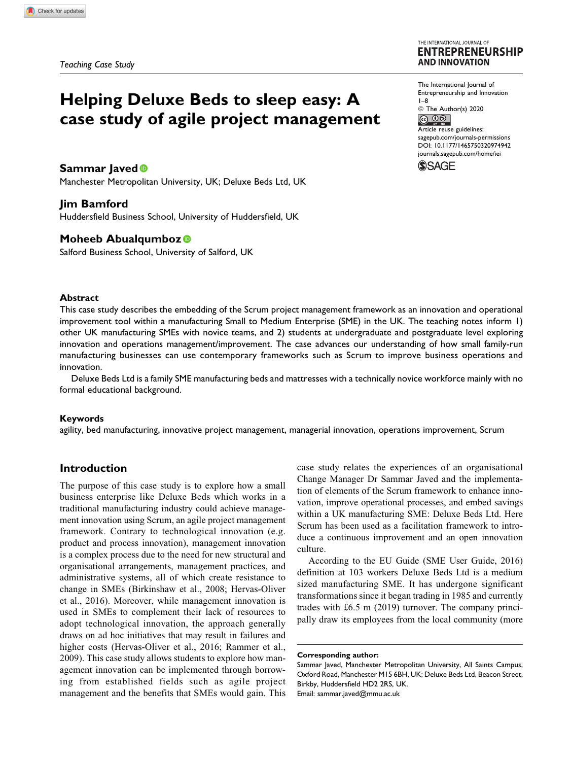#### THE INTERNATIONAL JOURNAL OF **ENTREPRENEURSHIP AND INNOVATION**

# **Helping Deluxe Beds to sleep easy: A case study of agile project management**

# **Sammar Javed**

Manchester Metropolitan University, UK; Deluxe Beds Ltd, UK

### **Jim Bamford**

Huddersfield Business School, University of Huddersfield, UK

# **Moheeb Abualqumboz**

Salford Business School, University of Salford, UK

### **Abstract**

This case study describes the embedding of the Scrum project management framework as an innovation and operational improvement tool within a manufacturing Small to Medium Enterprise (SME) in the UK. The teaching notes inform 1) other UK manufacturing SMEs with novice teams, and 2) students at undergraduate and postgraduate level exploring innovation and operations management/improvement. The case advances our understanding of how small family-run manufacturing businesses can use contemporary frameworks such as Scrum to improve business operations and innovation.

Deluxe Beds Ltd is a family SME manufacturing beds and mattresses with a technically novice workforce mainly with no formal educational background.

#### **Keywords**

agility, bed manufacturing, innovative project management, managerial innovation, operations improvement, Scrum

# **Introduction**

The purpose of this case study is to explore how a small business enterprise like Deluxe Beds which works in a traditional manufacturing industry could achieve management innovation using Scrum, an agile project management framework. Contrary to technological innovation (e.g. product and process innovation), management innovation is a complex process due to the need for new structural and organisational arrangements, management practices, and administrative systems, all of which create resistance to change in SMEs (Birkinshaw et al., 2008; Hervas-Oliver et al., 2016). Moreover, while management innovation is used in SMEs to complement their lack of resources to adopt technological innovation, the approach generally draws on ad hoc initiatives that may result in failures and higher costs (Hervas-Oliver et al., 2016; Rammer et al., 2009). This case study allows students to explore how management innovation can be implemented through borrowing from established fields such as agile project management and the benefits that SMEs would gain. This case study relates the experiences of an organisational Change Manager Dr Sammar Javed and the implementation of elements of the Scrum framework to enhance innovation, improve operational processes, and embed savings within a UK manufacturing SME: Deluxe Beds Ltd. Here Scrum has been used as a facilitation framework to introduce a continuous improvement and an open innovation culture.

According to the EU Guide (SME User Guide, 2016) definition at 103 workers Deluxe Beds Ltd is a medium sized manufacturing SME. It has undergone significant transformations since it began trading in 1985 and currently trades with £6.5 m (2019) turnover. The company principally draw its employees from the local community (more

The International Journal of Entrepreneurship and Innovation 1–8 © The Author(s) 2020  $\circledcirc$   $\circledcirc$ Article reuse guidelines:

[sagepub.com/journals-permissions](https://sagepub.com/journals-permissions) [DOI: 10.1177/1465750320974942](https://doi.org/10.1177/1465750320974942) [journals.sagepub.com/home/iei](http://journals.sagepub.com/home/iei)**SSAGE** 

**Corresponding author:**

Sammar Javed, Manchester Metropolitan University, All Saints Campus, Oxford Road, Manchester M15 6BH, UK; Deluxe Beds Ltd, Beacon Street, Birkby, Huddersfield HD2 2RS, UK. Email: [sammar.javed@mmu.ac.uk](mailto:sammar.javed@mmu.ac.uk)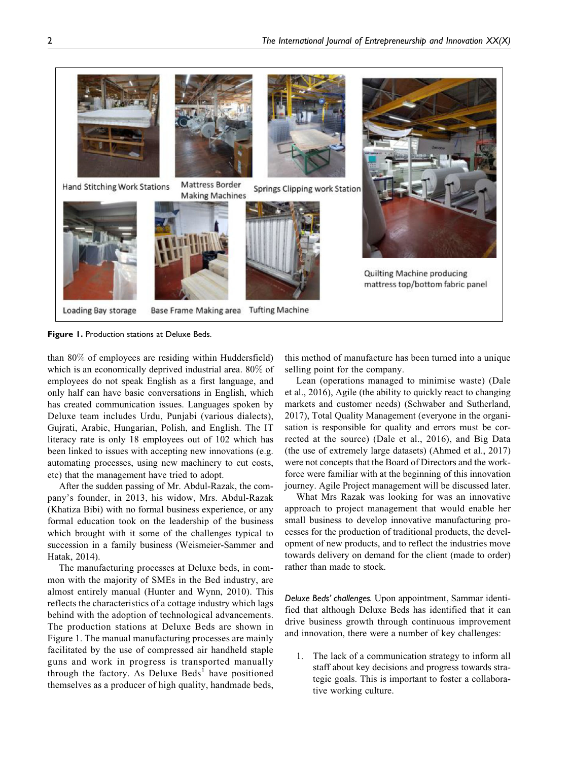

**Figure 1.** Production stations at Deluxe Beds.

than 80% of employees are residing within Huddersfield) which is an economically deprived industrial area. 80% of employees do not speak English as a first language, and only half can have basic conversations in English, which has created communication issues. Languages spoken by Deluxe team includes Urdu, Punjabi (various dialects), Gujrati, Arabic, Hungarian, Polish, and English. The IT literacy rate is only 18 employees out of 102 which has been linked to issues with accepting new innovations (e.g. automating processes, using new machinery to cut costs, etc) that the management have tried to adopt.

After the sudden passing of Mr. Abdul-Razak, the company's founder, in 2013, his widow, Mrs. Abdul-Razak (Khatiza Bibi) with no formal business experience, or any formal education took on the leadership of the business which brought with it some of the challenges typical to succession in a family business (Weismeier-Sammer and Hatak, 2014).

The manufacturing processes at Deluxe beds, in common with the majority of SMEs in the Bed industry, are almost entirely manual (Hunter and Wynn, 2010). This reflects the characteristics of a cottage industry which lags behind with the adoption of technological advancements. The production stations at Deluxe Beds are shown in Figure 1. The manual manufacturing processes are mainly facilitated by the use of compressed air handheld staple guns and work in progress is transported manually through the factory. As Deluxe Beds<sup>1</sup> have positioned themselves as a producer of high quality, handmade beds,

this method of manufacture has been turned into a unique selling point for the company.

Lean (operations managed to minimise waste) (Dale et al., 2016), Agile (the ability to quickly react to changing markets and customer needs) (Schwaber and Sutherland, 2017), Total Quality Management (everyone in the organisation is responsible for quality and errors must be corrected at the source) (Dale et al., 2016), and Big Data (the use of extremely large datasets) (Ahmed et al., 2017) were not concepts that the Board of Directors and the workforce were familiar with at the beginning of this innovation journey. Agile Project management will be discussed later.

What Mrs Razak was looking for was an innovative approach to project management that would enable her small business to develop innovative manufacturing processes for the production of traditional products, the development of new products, and to reflect the industries move towards delivery on demand for the client (made to order) rather than made to stock.

*Deluxe Beds' challenges.* Upon appointment, Sammar identified that although Deluxe Beds has identified that it can drive business growth through continuous improvement and innovation, there were a number of key challenges:

1. The lack of a communication strategy to inform all staff about key decisions and progress towards strategic goals. This is important to foster a collaborative working culture.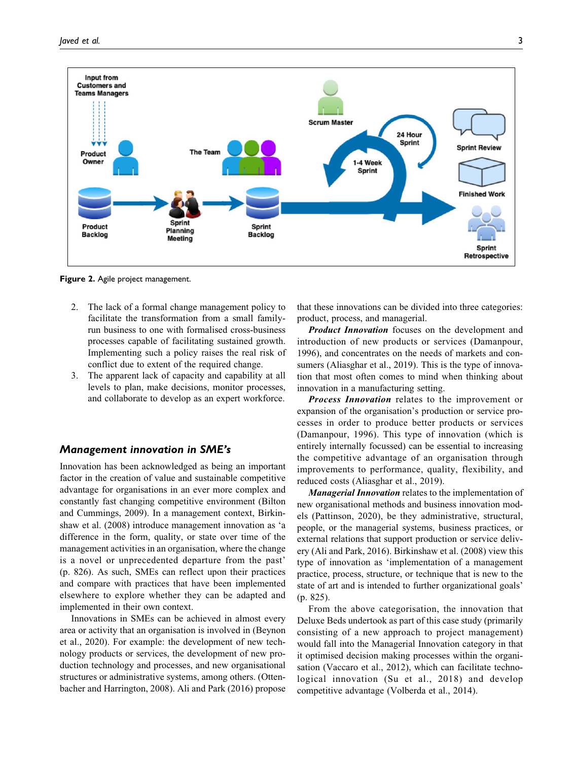

**Figure 2.** Agile project management.

- 2. The lack of a formal change management policy to facilitate the transformation from a small familyrun business to one with formalised cross-business processes capable of facilitating sustained growth. Implementing such a policy raises the real risk of conflict due to extent of the required change.
- 3. The apparent lack of capacity and capability at all levels to plan, make decisions, monitor processes, and collaborate to develop as an expert workforce.

#### Management innovation in SME's

Innovation has been acknowledged as being an important factor in the creation of value and sustainable competitive advantage for organisations in an ever more complex and constantly fast changing competitive environment (Bilton and Cummings, 2009). In a management context, Birkinshaw et al. (2008) introduce management innovation as 'a difference in the form, quality, or state over time of the management activities in an organisation, where the change is a novel or unprecedented departure from the past' (p. 826). As such, SMEs can reflect upon their practices and compare with practices that have been implemented elsewhere to explore whether they can be adapted and implemented in their own context.

Innovations in SMEs can be achieved in almost every area or activity that an organisation is involved in (Beynon et al., 2020). For example: the development of new technology products or services, the development of new production technology and processes, and new organisational structures or administrative systems, among others. (Ottenbacher and Harrington, 2008). Ali and Park (2016) propose

that these innovations can be divided into three categories: product, process, and managerial.

**Product Innovation** focuses on the development and introduction of new products or services (Damanpour, 1996), and concentrates on the needs of markets and consumers (Aliasghar et al., 2019). This is the type of innovation that most often comes to mind when thinking about innovation in a manufacturing setting.

**Process Innovation** relates to the improvement or expansion of the organisation's production or service processes in order to produce better products or services (Damanpour, 1996). This type of innovation (which is entirely internally focussed) can be essential to increasing the competitive advantage of an organisation through improvements to performance, quality, flexibility, and reduced costs (Aliasghar et al., 2019).

Managerial Innovation relates to the implementation of new organisational methods and business innovation models (Pattinson, 2020), be they administrative, structural, people, or the managerial systems, business practices, or external relations that support production or service delivery (Ali and Park, 2016). Birkinshaw et al. (2008) view this type of innovation as 'implementation of a management practice, process, structure, or technique that is new to the state of art and is intended to further organizational goals' (p. 825).

From the above categorisation, the innovation that Deluxe Beds undertook as part of this case study (primarily consisting of a new approach to project management) would fall into the Managerial Innovation category in that it optimised decision making processes within the organisation (Vaccaro et al., 2012), which can facilitate technological innovation (Su et al., 2018) and develop competitive advantage (Volberda et al., 2014).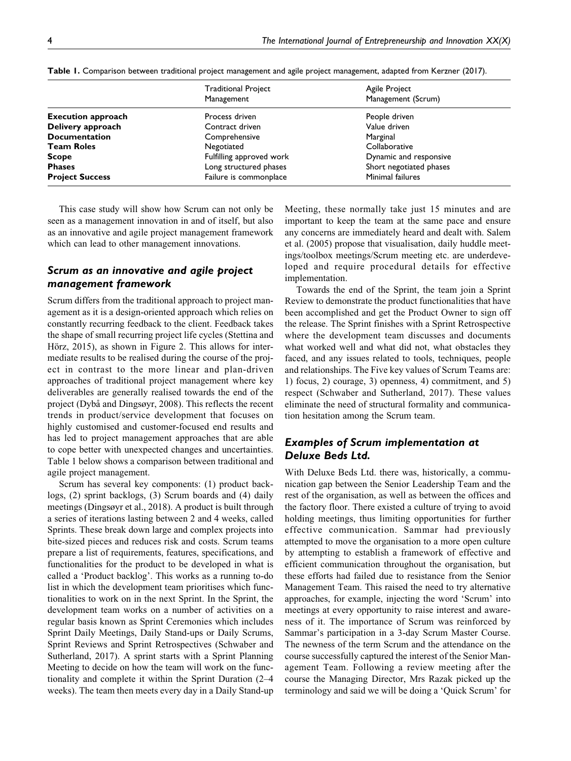|                           | <b>Traditional Project</b><br>Management | Agile Project<br>Management (Scrum) |  |
|---------------------------|------------------------------------------|-------------------------------------|--|
| <b>Execution approach</b> | Process driven                           | People driven                       |  |
| Delivery approach         | Contract driven                          | Value driven                        |  |
| <b>Documentation</b>      | Comprehensive                            | Marginal                            |  |
| Team Roles                | Negotiated                               | Collaborative                       |  |
| Scope                     | Fulfilling approved work                 | Dynamic and responsive              |  |
| <b>Phases</b>             | Long structured phases                   | Short negotiated phases             |  |
| <b>Project Success</b>    | Failure is commonplace                   | Minimal failures                    |  |

**Table 1.** Comparison between traditional project management and agile project management, adapted from Kerzner (2017).

This case study will show how Scrum can not only be seen as a management innovation in and of itself, but also as an innovative and agile project management framework which can lead to other management innovations.

# Scrum as an innovative and agile project management framework

Scrum differs from the traditional approach to project management as it is a design-oriented approach which relies on constantly recurring feedback to the client. Feedback takes the shape of small recurring project life cycles (Stettina and Hörz, 2015), as shown in Figure 2. This allows for intermediate results to be realised during the course of the project in contrast to the more linear and plan-driven approaches of traditional project management where key deliverables are generally realised towards the end of the project (Dybå and Dingsøyr, 2008). This reflects the recent trends in product/service development that focuses on highly customised and customer-focused end results and has led to project management approaches that are able to cope better with unexpected changes and uncertainties. Table 1 below shows a comparison between traditional and agile project management.

Scrum has several key components: (1) product backlogs, (2) sprint backlogs, (3) Scrum boards and (4) daily meetings (Dingsøyr et al., 2018). A product is built through a series of iterations lasting between 2 and 4 weeks, called Sprints. These break down large and complex projects into bite-sized pieces and reduces risk and costs. Scrum teams prepare a list of requirements, features, specifications, and functionalities for the product to be developed in what is called a 'Product backlog'. This works as a running to-do list in which the development team prioritises which functionalities to work on in the next Sprint. In the Sprint, the development team works on a number of activities on a regular basis known as Sprint Ceremonies which includes Sprint Daily Meetings, Daily Stand-ups or Daily Scrums, Sprint Reviews and Sprint Retrospectives (Schwaber and Sutherland, 2017). A sprint starts with a Sprint Planning Meeting to decide on how the team will work on the functionality and complete it within the Sprint Duration (2–4 weeks). The team then meets every day in a Daily Stand-up Meeting, these normally take just 15 minutes and are important to keep the team at the same pace and ensure any concerns are immediately heard and dealt with. Salem et al. (2005) propose that visualisation, daily huddle meetings/toolbox meetings/Scrum meeting etc. are underdeveloped and require procedural details for effective implementation.

Towards the end of the Sprint, the team join a Sprint Review to demonstrate the product functionalities that have been accomplished and get the Product Owner to sign off the release. The Sprint finishes with a Sprint Retrospective where the development team discusses and documents what worked well and what did not, what obstacles they faced, and any issues related to tools, techniques, people and relationships. The Five key values of Scrum Teams are: 1) focus, 2) courage, 3) openness, 4) commitment, and 5) respect (Schwaber and Sutherland, 2017). These values eliminate the need of structural formality and communication hesitation among the Scrum team.

# Examples of Scrum implementation at Deluxe Beds Ltd.

With Deluxe Beds Ltd. there was, historically, a communication gap between the Senior Leadership Team and the rest of the organisation, as well as between the offices and the factory floor. There existed a culture of trying to avoid holding meetings, thus limiting opportunities for further effective communication. Sammar had previously attempted to move the organisation to a more open culture by attempting to establish a framework of effective and efficient communication throughout the organisation, but these efforts had failed due to resistance from the Senior Management Team. This raised the need to try alternative approaches, for example, injecting the word 'Scrum' into meetings at every opportunity to raise interest and awareness of it. The importance of Scrum was reinforced by Sammar's participation in a 3-day Scrum Master Course. The newness of the term Scrum and the attendance on the course successfully captured the interest of the Senior Management Team. Following a review meeting after the course the Managing Director, Mrs Razak picked up the terminology and said we will be doing a 'Quick Scrum' for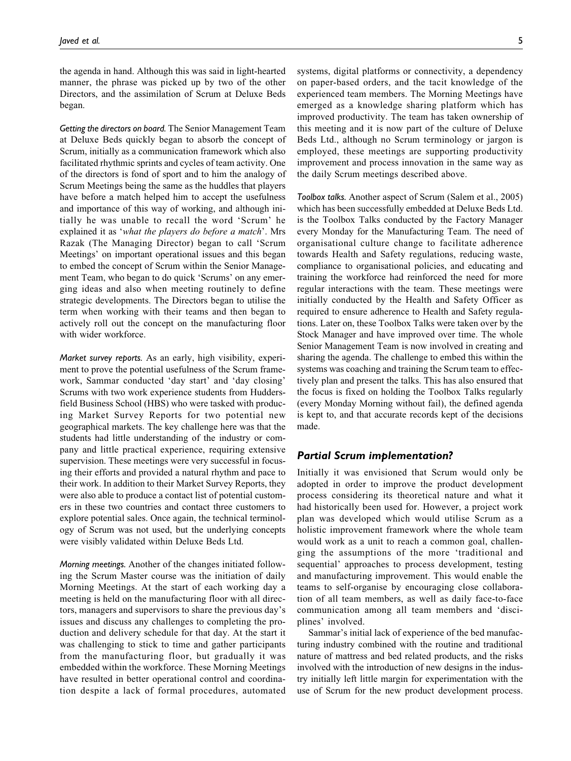the agenda in hand. Although this was said in light-hearted manner, the phrase was picked up by two of the other Directors, and the assimilation of Scrum at Deluxe Beds began.

*Getting the directors on board.* The Senior Management Team at Deluxe Beds quickly began to absorb the concept of Scrum, initially as a communication framework which also facilitated rhythmic sprints and cycles of team activity. One of the directors is fond of sport and to him the analogy of Scrum Meetings being the same as the huddles that players have before a match helped him to accept the usefulness and importance of this way of working, and although initially he was unable to recall the word 'Scrum' he explained it as 'what the players do before a match'. Mrs Razak (The Managing Director) began to call 'Scrum Meetings' on important operational issues and this began to embed the concept of Scrum within the Senior Management Team, who began to do quick 'Scrums' on any emerging ideas and also when meeting routinely to define strategic developments. The Directors began to utilise the term when working with their teams and then began to actively roll out the concept on the manufacturing floor with wider workforce.

*Market survey reports.* As an early, high visibility, experiment to prove the potential usefulness of the Scrum framework, Sammar conducted 'day start' and 'day closing' Scrums with two work experience students from Huddersfield Business School (HBS) who were tasked with producing Market Survey Reports for two potential new geographical markets. The key challenge here was that the students had little understanding of the industry or company and little practical experience, requiring extensive supervision. These meetings were very successful in focusing their efforts and provided a natural rhythm and pace to their work. In addition to their Market Survey Reports, they were also able to produce a contact list of potential customers in these two countries and contact three customers to explore potential sales. Once again, the technical terminology of Scrum was not used, but the underlying concepts were visibly validated within Deluxe Beds Ltd.

*Morning meetings.* Another of the changes initiated following the Scrum Master course was the initiation of daily Morning Meetings. At the start of each working day a meeting is held on the manufacturing floor with all directors, managers and supervisors to share the previous day's issues and discuss any challenges to completing the production and delivery schedule for that day. At the start it was challenging to stick to time and gather participants from the manufacturing floor, but gradually it was embedded within the workforce. These Morning Meetings have resulted in better operational control and coordination despite a lack of formal procedures, automated

systems, digital platforms or connectivity, a dependency on paper-based orders, and the tacit knowledge of the experienced team members. The Morning Meetings have emerged as a knowledge sharing platform which has improved productivity. The team has taken ownership of this meeting and it is now part of the culture of Deluxe Beds Ltd., although no Scrum terminology or jargon is employed, these meetings are supporting productivity improvement and process innovation in the same way as the daily Scrum meetings described above.

*Toolbox talks.* Another aspect of Scrum (Salem et al., 2005) which has been successfully embedded at Deluxe Beds Ltd. is the Toolbox Talks conducted by the Factory Manager every Monday for the Manufacturing Team. The need of organisational culture change to facilitate adherence towards Health and Safety regulations, reducing waste, compliance to organisational policies, and educating and training the workforce had reinforced the need for more regular interactions with the team. These meetings were initially conducted by the Health and Safety Officer as required to ensure adherence to Health and Safety regulations. Later on, these Toolbox Talks were taken over by the Stock Manager and have improved over time. The whole Senior Management Team is now involved in creating and sharing the agenda. The challenge to embed this within the systems was coaching and training the Scrum team to effectively plan and present the talks. This has also ensured that the focus is fixed on holding the Toolbox Talks regularly (every Monday Morning without fail), the defined agenda is kept to, and that accurate records kept of the decisions made.

# Partial Scrum implementation?

Initially it was envisioned that Scrum would only be adopted in order to improve the product development process considering its theoretical nature and what it had historically been used for. However, a project work plan was developed which would utilise Scrum as a holistic improvement framework where the whole team would work as a unit to reach a common goal, challenging the assumptions of the more 'traditional and sequential' approaches to process development, testing and manufacturing improvement. This would enable the teams to self-organise by encouraging close collaboration of all team members, as well as daily face-to-face communication among all team members and 'disciplines' involved.

Sammar's initial lack of experience of the bed manufacturing industry combined with the routine and traditional nature of mattress and bed related products, and the risks involved with the introduction of new designs in the industry initially left little margin for experimentation with the use of Scrum for the new product development process.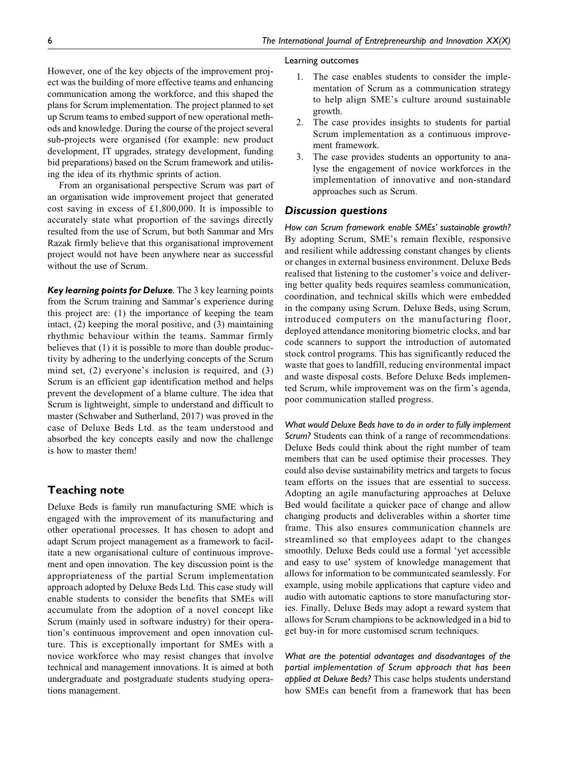#### Learning outcomes

However, one of the key objects of the improvement project was the building of more effective teams and enhancing communication among the workforce, and this shaped the plans for Scrum implementation. The project planned to set up Scrum teams to embed support of new operational methods and knowledge. During the course of the project several sub-projects were organised (for example: new product development, IT upgrades, strategy development, funding bid preparations) based on the Scrum framework and utilising the idea of its rhythmic sprints of action.

From an organisational perspective Scrum was part of an organisation wide improvement project that generated cost saving in excess of £1,800,000. It is impossible to accurately state what proportion of the savings directly resulted from the use of Scrum, but both Sammar and Mrs Razak firmly believe that this organisational improvement project would not have been anywhere near as successful without the use of Scrum.

Key learning points for Deluxe*.* The 3 key learning points from the Scrum training and Sammar's experience during this project are: (1) the importance of keeping the team intact, (2) keeping the moral positive, and (3) maintaining rhythmic behaviour within the teams. Sammar firmly believes that  $(1)$  it is possible to more than double productivity by adhering to the underlying concepts of the Scrum mind set, (2) everyone's inclusion is required, and (3) Scrum is an efficient gap identification method and helps prevent the development of a blame culture. The idea that Scrum is lightweight, simple to understand and difficult to master (Schwaber and Sutherland, 2017) was proved in the case of Deluxe Beds Ltd. as the team understood and absorbed the key concepts easily and now the challenge is how to master them!

# **Teaching note**

Deluxe Beds is family run manufacturing SME which is engaged with the improvement of its manufacturing and other operational processes. It has chosen to adopt and adapt Scrum project management as a framework to facilitate a new organisational culture of continuous improvement and open innovation. The key discussion point is the appropriateness of the partial Scrum implementation approach adopted by Deluxe Beds Ltd. This case study will enable students to consider the benefits that SMEs will accumulate from the adoption of a novel concept like Scrum (mainly used in software industry) for their operation's continuous improvement and open innovation culture. This is exceptionally important for SMEs with a novice workforce who may resist changes that involve technical and management innovations. It is aimed at both undergraduate and postgraduate students studying operations management.

# 1. The case enables students to consider the implementation of Scrum as a communication strategy to help align SME's culture around sustainable growth.

- 2. The case provides insights to students for partial Scrum implementation as a continuous improvement framework.
- 3. The case provides students an opportunity to analyse the engagement of novice workforces in the implementation of innovative and non-standard approaches such as Scrum.

# Discussion questions

*How can Scrum framework enable SMEs' sustainable growth?* By adopting Scrum, SME's remain flexible, responsive and resilient while addressing constant changes by clients or changes in external business environment. Deluxe Beds realised that listening to the customer's voice and delivering better quality beds requires seamless communication, coordination, and technical skills which were embedded in the company using Scrum. Deluxe Beds, using Scrum, introduced computers on the manufacturing floor, deployed attendance monitoring biometric clocks, and bar code scanners to support the introduction of automated stock control programs. This has significantly reduced the waste that goes to landfill, reducing environmental impact and waste disposal costs. Before Deluxe Beds implemented Scrum, while improvement was on the firm's agenda, poor communication stalled progress.

*What would Deluxe Beds have to do in order to fully implement Scrum?* Students can think of a range of recommendations. Deluxe Beds could think about the right number of team members that can be used optimise their processes. They could also devise sustainability metrics and targets to focus team efforts on the issues that are essential to success. Adopting an agile manufacturing approaches at Deluxe Bed would facilitate a quicker pace of change and allow changing products and deliverables within a shorter time frame. This also ensures communication channels are streamlined so that employees adapt to the changes smoothly. Deluxe Beds could use a formal 'yet accessible and easy to use' system of knowledge management that allows for information to be communicated seamlessly. For example, using mobile applications that capture video and audio with automatic captions to store manufacturing stories. Finally, Deluxe Beds may adopt a reward system that allows for Scrum champions to be acknowledged in a bid to get buy-in for more customised scrum techniques.

*What are the potential advantages and disadvantages of the partial implementation of Scrum approach that has been applied at Deluxe Beds?* This case helps students understand how SMEs can benefit from a framework that has been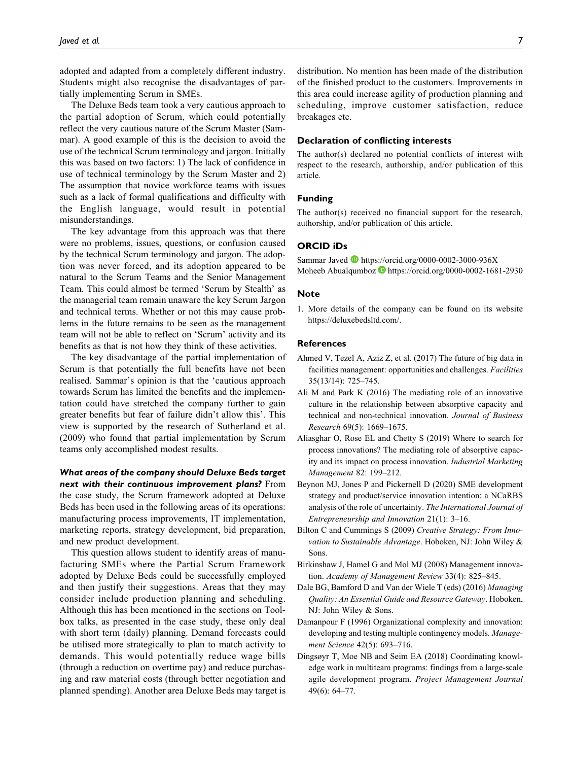adopted and adapted from a completely different industry. Students might also recognise the disadvantages of partially implementing Scrum in SMEs.

The Deluxe Beds team took a very cautious approach to the partial adoption of Scrum, which could potentially reflect the very cautious nature of the Scrum Master (Sammar). A good example of this is the decision to avoid the use of the technical Scrum terminology and jargon. Initially this was based on two factors: 1) The lack of confidence in use of technical terminology by the Scrum Master and 2) The assumption that novice workforce teams with issues such as a lack of formal qualifications and difficulty with the English language, would result in potential misunderstandings.

The key advantage from this approach was that there were no problems, issues, questions, or confusion caused by the technical Scrum terminology and jargon. The adoption was never forced, and its adoption appeared to be natural to the Scrum Teams and the Senior Management Team. This could almost be termed 'Scrum by Stealth' as the managerial team remain unaware the key Scrum Jargon and technical terms. Whether or not this may cause problems in the future remains to be seen as the management team will not be able to reflect on 'Scrum' activity and its benefits as that is not how they think of these activities.

The key disadvantage of the partial implementation of Scrum is that potentially the full benefits have not been realised. Sammar's opinion is that the 'cautious approach towards Scrum has limited the benefits and the implementation could have stretched the company further to gain greater benefits but fear of failure didn't allow this'. This view is supported by the research of Sutherland et al. (2009) who found that partial implementation by Scrum teams only accomplished modest results.

# What areas of the company should Deluxe Beds target next with their continuous improvement plans? From the case study, the Scrum framework adopted at Deluxe Beds has been used in the following areas of its operations: manufacturing process improvements, IT implementation, marketing reports, strategy development, bid preparation, and new product development.

This question allows student to identify areas of manufacturing SMEs where the Partial Scrum Framework adopted by Deluxe Beds could be successfully employed and then justify their suggestions. Areas that they may consider include production planning and scheduling. Although this has been mentioned in the sections on Toolbox talks, as presented in the case study, these only deal with short term (daily) planning. Demand forecasts could be utilised more strategically to plan to match activity to demands. This would potentially reduce wage bills (through a reduction on overtime pay) and reduce purchasing and raw material costs (through better negotiation and planned spending). Another area Deluxe Beds may target is distribution. No mention has been made of the distribution of the finished product to the customers. Improvements in this area could increase agility of production planning and scheduling, improve customer satisfaction, reduce breakages etc.

#### **Declaration of conflicting interests**

The author(s) declared no potential conflicts of interest with respect to the research, authorship, and/or publication of this article.

#### **Funding**

The author(s) received no financial support for the research, authorship, and/or publication of this article.

### **ORCID iDs**

Sammar Javed **b** <https://orcid.org/0000-0002-3000-936X> Moheeb Abualqumboz **h**ttps://orcid.org/0000-0002-1681-2930

#### **Note**

1. More details of the company can be found on its website [https://deluxebedsltd.com/.](https://deluxebedsltd.com/)

#### **References**

- Ahmed V, Tezel A, Aziz Z, et al. (2017) The future of big data in facilities management: opportunities and challenges. Facilities 35(13/14): 725–745.
- Ali M and Park K (2016) The mediating role of an innovative culture in the relationship between absorptive capacity and technical and non-technical innovation. Journal of Business Research 69(5): 1669–1675.
- Aliasghar O, Rose EL and Chetty S (2019) Where to search for process innovations? The mediating role of absorptive capacity and its impact on process innovation. Industrial Marketing Management 82: 199–212.
- Beynon MJ, Jones P and Pickernell D (2020) SME development strategy and product/service innovation intention: a NCaRBS analysis of the role of uncertainty. The International Journal of Entrepreneurship and Innovation 21(1): 3–16.
- Bilton C and Cummings S (2009) Creative Strategy: From Innovation to Sustainable Advantage. Hoboken, NJ: John Wiley & Sons.
- Birkinshaw J, Hamel G and Mol MJ (2008) Management innovation. Academy of Management Review 33(4): 825–845.
- Dale BG, Bamford D and Van der Wiele T (eds) (2016) Managing Quality: An Essential Guide and Resource Gateway. Hoboken, NJ: John Wiley & Sons.
- Damanpour F (1996) Organizational complexity and innovation: developing and testing multiple contingency models. Management Science 42(5): 693–716.
- Dingsøyr T, Moe NB and Seim EA (2018) Coordinating knowledge work in multiteam programs: findings from a large-scale agile development program. Project Management Journal 49(6): 64–77.